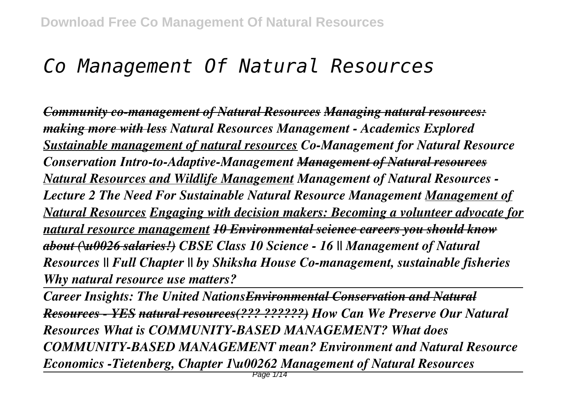# *Co Management Of Natural Resources*

*Community co-management of Natural Resources Managing natural resources: making more with less Natural Resources Management - Academics Explored Sustainable management of natural resources Co-Management for Natural Resource Conservation Intro-to-Adaptive-Management Management of Natural resources Natural Resources and Wildlife Management Management of Natural Resources - Lecture 2 The Need For Sustainable Natural Resource Management Management of Natural Resources Engaging with decision makers: Becoming a volunteer advocate for natural resource management 10 Environmental science careers you should know about (\u0026 salaries!) CBSE Class 10 Science - 16 || Management of Natural Resources || Full Chapter || by Shiksha House Co-management, sustainable fisheries Why natural resource use matters?* 

*Career Insights: The United NationsEnvironmental Conservation and Natural Resources - YES natural resources(??? ??????) How Can We Preserve Our Natural Resources What is COMMUNITY-BASED MANAGEMENT? What does COMMUNITY-BASED MANAGEMENT mean? Environment and Natural Resource Economics -Tietenberg, Chapter 1\u00262 Management of Natural Resources*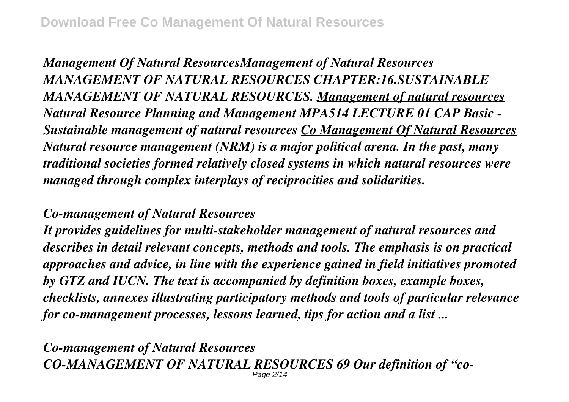*Management Of Natural ResourcesManagement of Natural Resources MANAGEMENT OF NATURAL RESOURCES CHAPTER:16.SUSTAINABLE MANAGEMENT OF NATURAL RESOURCES. Management of natural resources Natural Resource Planning and Management MPA514 LECTURE 01 CAP Basic - Sustainable management of natural resources Co Management Of Natural Resources Natural resource management (NRM) is a major political arena. In the past, many traditional societies formed relatively closed systems in which natural resources were managed through complex interplays of reciprocities and solidarities.*

### *Co-management of Natural Resources*

*It provides guidelines for multi-stakeholder management of natural resources and describes in detail relevant concepts, methods and tools. The emphasis is on practical approaches and advice, in line with the experience gained in field initiatives promoted by GTZ and IUCN. The text is accompanied by definition boxes, example boxes, checklists, annexes illustrating participatory methods and tools of particular relevance for co-management processes, lessons learned, tips for action and a list ...*

*Co-management of Natural Resources CO-MANAGEMENT OF NATURAL RESOURCES 69 Our definition of "co-*Page 2/14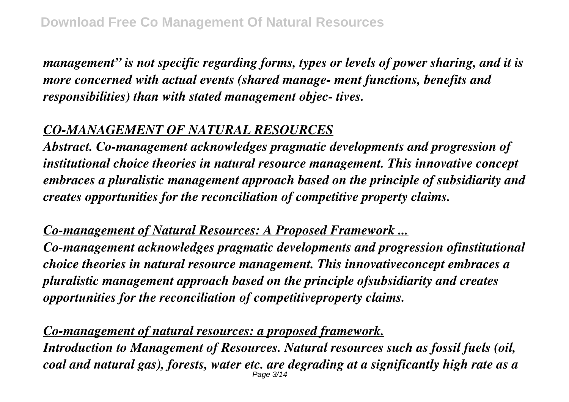*management" is not specific regarding forms, types or levels of power sharing, and it is more concerned with actual events (shared manage- ment functions, benefits and responsibilities) than with stated management objec- tives.*

#### *CO-MANAGEMENT OF NATURAL RESOURCES*

*Abstract. Co-management acknowledges pragmatic developments and progression of institutional choice theories in natural resource management. This innovative concept embraces a pluralistic management approach based on the principle of subsidiarity and creates opportunities for the reconciliation of competitive property claims.*

*Co-management of Natural Resources: A Proposed Framework ...*

*Co-management acknowledges pragmatic developments and progression ofinstitutional choice theories in natural resource management. This innovativeconcept embraces a pluralistic management approach based on the principle ofsubsidiarity and creates opportunities for the reconciliation of competitiveproperty claims.*

*Co-management of natural resources: a proposed framework. Introduction to Management of Resources. Natural resources such as fossil fuels (oil, coal and natural gas), forests, water etc. are degrading at a significantly high rate as a* Page 3/14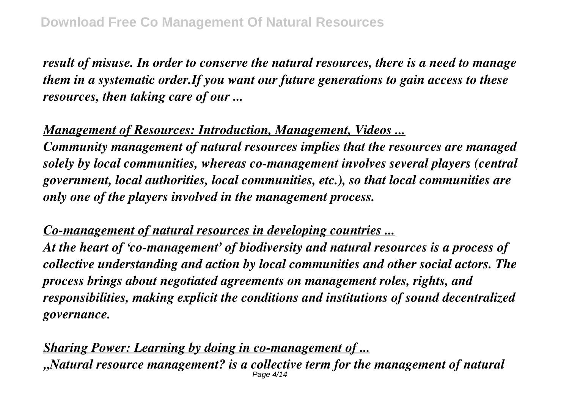*result of misuse. In order to conserve the natural resources, there is a need to manage them in a systematic order.If you want our future generations to gain access to these resources, then taking care of our ...*

*Management of Resources: Introduction, Management, Videos ...*

*Community management of natural resources implies that the resources are managed solely by local communities, whereas co-management involves several players (central government, local authorities, local communities, etc.), so that local communities are only one of the players involved in the management process.*

*Co-management of natural resources in developing countries ...*

*At the heart of 'co-management' of biodiversity and natural resources is a process of collective understanding and action by local communities and other social actors. The process brings about negotiated agreements on management roles, rights, and responsibilities, making explicit the conditions and institutions of sound decentralized governance.*

*Sharing Power: Learning by doing in co-management of ... "Natural resource management? is a collective term for the management of natural* Page 4/14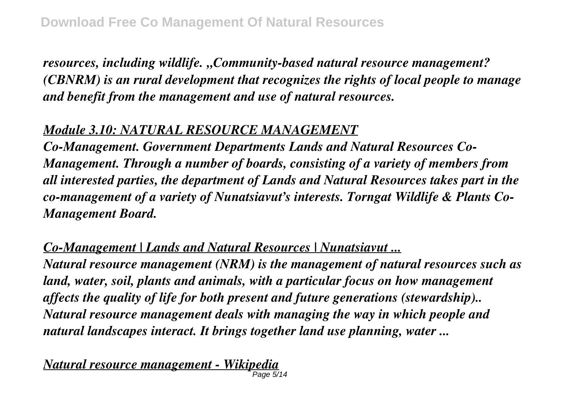*resources, including wildlife. "Community-based natural resource management? (CBNRM) is an rural development that recognizes the rights of local people to manage and benefit from the management and use of natural resources.*

#### *Module 3.10: NATURAL RESOURCE MANAGEMENT*

*Co-Management. Government Departments Lands and Natural Resources Co-Management. Through a number of boards, consisting of a variety of members from all interested parties, the department of Lands and Natural Resources takes part in the co-management of a variety of Nunatsiavut's interests. Torngat Wildlife & Plants Co-Management Board.*

*Co-Management | Lands and Natural Resources | Nunatsiavut ...*

*Natural resource management (NRM) is the management of natural resources such as land, water, soil, plants and animals, with a particular focus on how management affects the quality of life for both present and future generations (stewardship).. Natural resource management deals with managing the way in which people and natural landscapes interact. It brings together land use planning, water ...*

*Natural resource management - Wikipedia* Page 5/14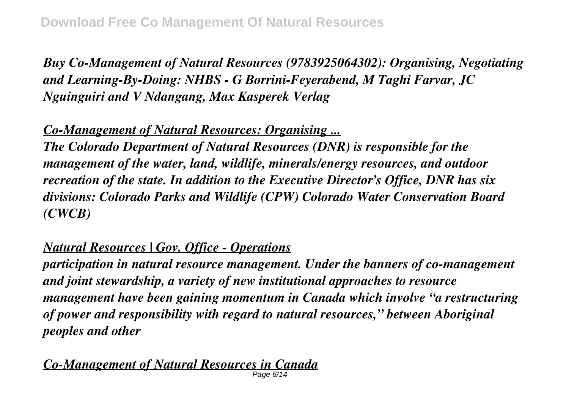*Buy Co-Management of Natural Resources (9783925064302): Organising, Negotiating and Learning-By-Doing: NHBS - G Borrini-Feyerabend, M Taghi Farvar, JC Nguinguiri and V Ndangang, Max Kasperek Verlag*

*Co-Management of Natural Resources: Organising ...*

*The Colorado Department of Natural Resources (DNR) is responsible for the management of the water, land, wildlife, minerals/energy resources, and outdoor recreation of the state. In addition to the Executive Director's Office, DNR has six divisions: Colorado Parks and Wildlife (CPW) Colorado Water Conservation Board (CWCB)*

*Natural Resources | Gov. Office - Operations*

*participation in natural resource management. Under the banners of co-management and joint stewardship, a variety of new institutional approaches to resource management have been gaining momentum in Canada which involve "a restructuring of power and responsibility with regard to natural resources," between Aboriginal peoples and other*

*Co-Management of Natural Resources in Canada* Page 6/14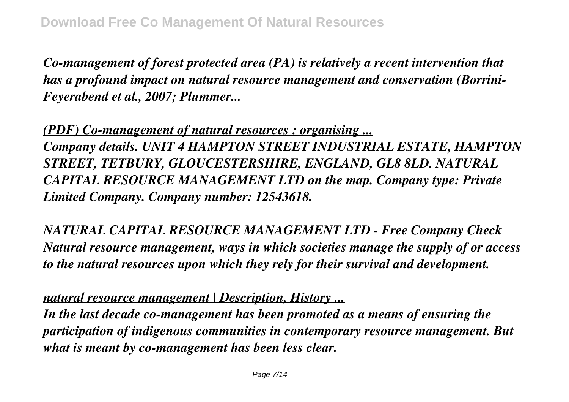*Co-management of forest protected area (PA) is relatively a recent intervention that has a profound impact on natural resource management and conservation (Borrini-Feyerabend et al., 2007; Plummer...*

*(PDF) Co-management of natural resources : organising ... Company details. UNIT 4 HAMPTON STREET INDUSTRIAL ESTATE, HAMPTON STREET, TETBURY, GLOUCESTERSHIRE, ENGLAND, GL8 8LD. NATURAL CAPITAL RESOURCE MANAGEMENT LTD on the map. Company type: Private Limited Company. Company number: 12543618.*

*NATURAL CAPITAL RESOURCE MANAGEMENT LTD - Free Company Check Natural resource management, ways in which societies manage the supply of or access to the natural resources upon which they rely for their survival and development.*

*natural resource management | Description, History ...*

*In the last decade co-management has been promoted as a means of ensuring the participation of indigenous communities in contemporary resource management. But what is meant by co-management has been less clear.*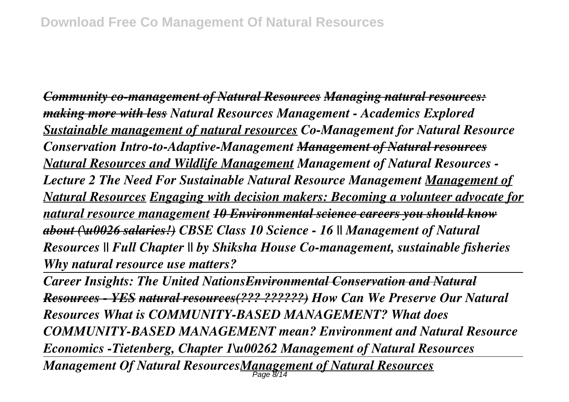*Community co-management of Natural Resources Managing natural resources: making more with less Natural Resources Management - Academics Explored Sustainable management of natural resources Co-Management for Natural Resource Conservation Intro-to-Adaptive-Management Management of Natural resources Natural Resources and Wildlife Management Management of Natural Resources - Lecture 2 The Need For Sustainable Natural Resource Management Management of Natural Resources Engaging with decision makers: Becoming a volunteer advocate for natural resource management 10 Environmental science careers you should know about (\u0026 salaries!) CBSE Class 10 Science - 16 || Management of Natural Resources || Full Chapter || by Shiksha House Co-management, sustainable fisheries Why natural resource use matters?* 

*Career Insights: The United NationsEnvironmental Conservation and Natural Resources - YES natural resources(??? ??????) How Can We Preserve Our Natural Resources What is COMMUNITY-BASED MANAGEMENT? What does COMMUNITY-BASED MANAGEMENT mean? Environment and Natural Resource Economics -Tietenberg, Chapter 1\u00262 Management of Natural Resources Management Of Natural ResourcesManagement of Natural Resources* Page 8/14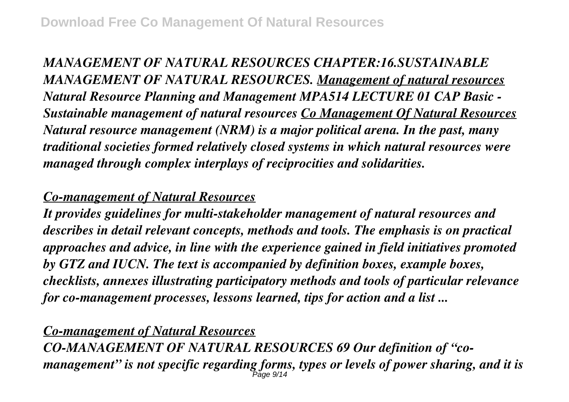*MANAGEMENT OF NATURAL RESOURCES CHAPTER:16.SUSTAINABLE MANAGEMENT OF NATURAL RESOURCES. Management of natural resources Natural Resource Planning and Management MPA514 LECTURE 01 CAP Basic - Sustainable management of natural resources Co Management Of Natural Resources Natural resource management (NRM) is a major political arena. In the past, many traditional societies formed relatively closed systems in which natural resources were managed through complex interplays of reciprocities and solidarities.*

## *Co-management of Natural Resources*

*It provides guidelines for multi-stakeholder management of natural resources and describes in detail relevant concepts, methods and tools. The emphasis is on practical approaches and advice, in line with the experience gained in field initiatives promoted by GTZ and IUCN. The text is accompanied by definition boxes, example boxes, checklists, annexes illustrating participatory methods and tools of particular relevance for co-management processes, lessons learned, tips for action and a list ...*

## *Co-management of Natural Resources*

*CO-MANAGEMENT OF NATURAL RESOURCES 69 Our definition of "comanagement" is not specific regarding forms, types or levels of power sharing, and it is* Page 9/14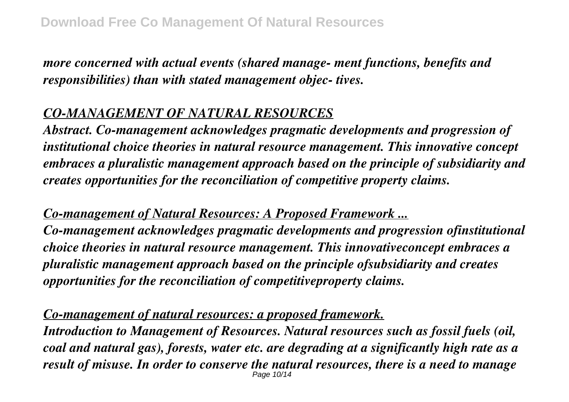*more concerned with actual events (shared manage- ment functions, benefits and responsibilities) than with stated management objec- tives.*

## *CO-MANAGEMENT OF NATURAL RESOURCES*

*Abstract. Co-management acknowledges pragmatic developments and progression of institutional choice theories in natural resource management. This innovative concept embraces a pluralistic management approach based on the principle of subsidiarity and creates opportunities for the reconciliation of competitive property claims.*

*Co-management of Natural Resources: A Proposed Framework ... Co-management acknowledges pragmatic developments and progression ofinstitutional choice theories in natural resource management. This innovativeconcept embraces a pluralistic management approach based on the principle ofsubsidiarity and creates opportunities for the reconciliation of competitiveproperty claims.*

*Co-management of natural resources: a proposed framework.*

*Introduction to Management of Resources. Natural resources such as fossil fuels (oil, coal and natural gas), forests, water etc. are degrading at a significantly high rate as a result of misuse. In order to conserve the natural resources, there is a need to manage* Page 10/14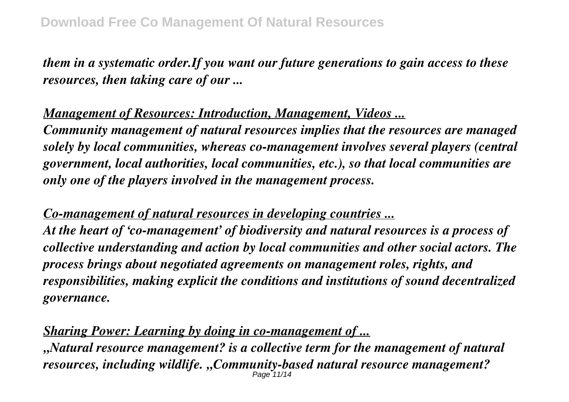*them in a systematic order.If you want our future generations to gain access to these resources, then taking care of our ...*

*Management of Resources: Introduction, Management, Videos ... Community management of natural resources implies that the resources are managed solely by local communities, whereas co-management involves several players (central government, local authorities, local communities, etc.), so that local communities are only one of the players involved in the management process.*

*Co-management of natural resources in developing countries ... At the heart of 'co-management' of biodiversity and natural resources is a process of collective understanding and action by local communities and other social actors. The process brings about negotiated agreements on management roles, rights, and responsibilities, making explicit the conditions and institutions of sound decentralized governance.*

*Sharing Power: Learning by doing in co-management of ...*

*"Natural resource management? is a collective term for the management of natural resources, including wildlife. "Community-based natural resource management?* Page 11/14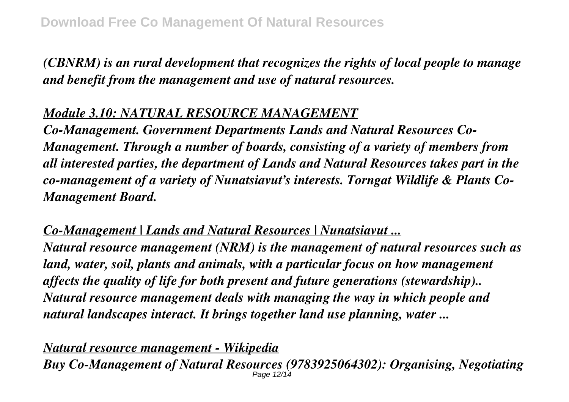*(CBNRM) is an rural development that recognizes the rights of local people to manage and benefit from the management and use of natural resources.*

## *Module 3.10: NATURAL RESOURCE MANAGEMENT*

*Co-Management. Government Departments Lands and Natural Resources Co-Management. Through a number of boards, consisting of a variety of members from all interested parties, the department of Lands and Natural Resources takes part in the co-management of a variety of Nunatsiavut's interests. Torngat Wildlife & Plants Co-Management Board.*

*Co-Management | Lands and Natural Resources | Nunatsiavut ...*

*Natural resource management (NRM) is the management of natural resources such as land, water, soil, plants and animals, with a particular focus on how management affects the quality of life for both present and future generations (stewardship).. Natural resource management deals with managing the way in which people and natural landscapes interact. It brings together land use planning, water ...*

*Natural resource management - Wikipedia Buy Co-Management of Natural Resources (9783925064302): Organising, Negotiating* Page 12/14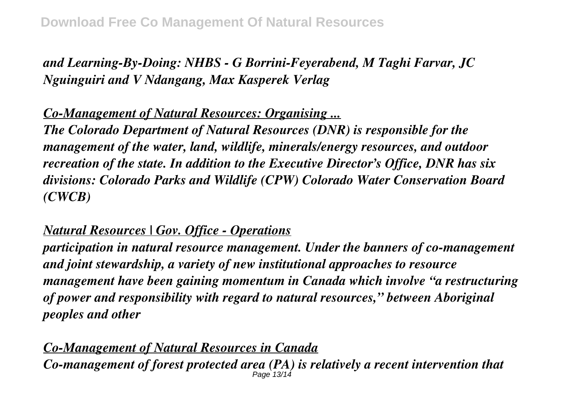# *and Learning-By-Doing: NHBS - G Borrini-Feyerabend, M Taghi Farvar, JC Nguinguiri and V Ndangang, Max Kasperek Verlag*

*Co-Management of Natural Resources: Organising ... The Colorado Department of Natural Resources (DNR) is responsible for the management of the water, land, wildlife, minerals/energy resources, and outdoor recreation of the state. In addition to the Executive Director's Office, DNR has six divisions: Colorado Parks and Wildlife (CPW) Colorado Water Conservation Board (CWCB)*

### *Natural Resources | Gov. Office - Operations*

*participation in natural resource management. Under the banners of co-management and joint stewardship, a variety of new institutional approaches to resource management have been gaining momentum in Canada which involve "a restructuring of power and responsibility with regard to natural resources," between Aboriginal peoples and other*

*Co-Management of Natural Resources in Canada Co-management of forest protected area (PA) is relatively a recent intervention that* Page 13/14